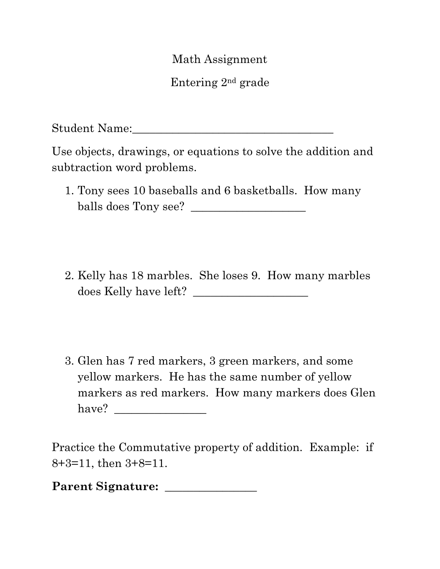Math Assignment

Entering 2nd grade

Student Name:

Use objects, drawings, or equations to solve the addition and subtraction word problems.

- 1. Tony sees 10 baseballs and 6 basketballs. How many balls does Tony see? \_\_\_\_\_\_\_\_\_\_\_\_\_\_\_\_\_\_\_\_
- 2. Kelly has 18 marbles. She loses 9. How many marbles does Kelly have left? \_\_\_\_\_\_\_\_\_\_\_\_\_\_\_\_\_\_\_\_
- 3. Glen has 7 red markers, 3 green markers, and some yellow markers. He has the same number of yellow markers as red markers. How many markers does Glen have? \_\_\_\_\_\_\_\_\_\_\_\_\_\_\_\_

Practice the Commutative property of addition. Example: if 8+3=11, then 3+8=11.

**Parent Signature: \_\_\_\_\_\_\_\_\_\_\_\_\_\_\_\_**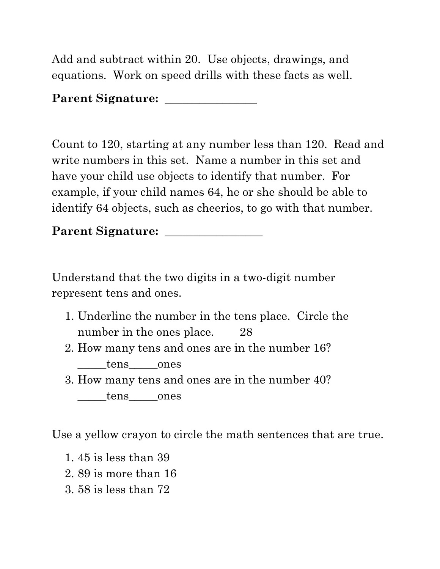Add and subtract within 20. Use objects, drawings, and equations. Work on speed drills with these facts as well.

## **Parent Signature: \_\_\_\_\_\_\_\_\_\_\_\_\_\_\_\_**

Count to 120, starting at any number less than 120. Read and write numbers in this set. Name a number in this set and have your child use objects to identify that number. For example, if your child names 64, he or she should be able to identify 64 objects, such as cheerios, to go with that number.

Parent Signature:

Understand that the two digits in a two-digit number represent tens and ones.

- 1. Underline the number in the tens place. Circle the number in the ones place. 28
- 2. How many tens and ones are in the number 16? tens ones
- 3. How many tens and ones are in the number 40? tens ones

Use a yellow crayon to circle the math sentences that are true.

- 1. 45 is less than 39
- 2. 89 is more than 16
- 3. 58 is less than 72